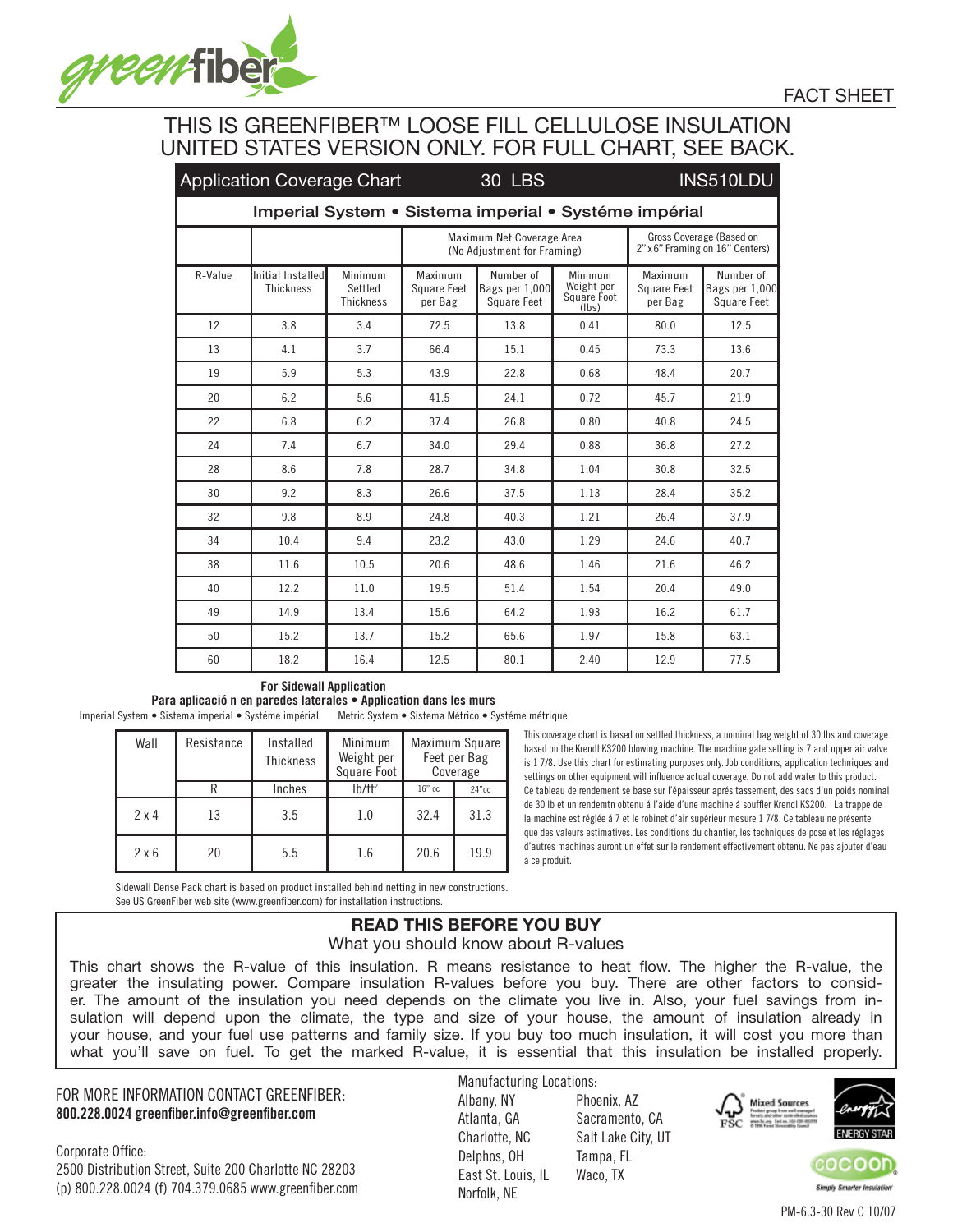

## THIS IS GREENFIBER™ LOOSE FILL CELLULOSE INSULATION UNITED STATES VERSION ONLY. FOR FULL CHART, SEE BACK.

|                                                       | <b>Application Coverage Chart</b>     |                                        |                                          | <b>30 LBS</b>                                            | INS510LDU                                                       |      |                                                   |  |  |  |  |  |
|-------------------------------------------------------|---------------------------------------|----------------------------------------|------------------------------------------|----------------------------------------------------------|-----------------------------------------------------------------|------|---------------------------------------------------|--|--|--|--|--|
| Imperial System • Sistema imperial • Systéme impérial |                                       |                                        |                                          |                                                          |                                                                 |      |                                                   |  |  |  |  |  |
|                                                       |                                       |                                        |                                          | Maximum Net Coverage Area<br>(No Adiustment for Framing) | Gross Coverage (Based on<br>2" x 6" Framing on 16" Centers)     |      |                                                   |  |  |  |  |  |
| R-Value                                               | Initial Installed<br><b>Thickness</b> | Minimum<br>Settled<br><b>Thickness</b> | Maximum<br><b>Square Feet</b><br>per Bag | Number of<br>Square Feet                                 | Minimum<br>Weight per<br>Bags per 1,000<br>Square Foot<br>(lbs) |      | Number of<br>Bags per 1,000<br><b>Square Feet</b> |  |  |  |  |  |
| 12                                                    | 3.8                                   | 3.4                                    | 72.5                                     | 13.8                                                     | 0.41                                                            | 80.0 | 12.5                                              |  |  |  |  |  |
| 13                                                    | 4.1                                   | 3.7                                    | 66.4                                     | 15.1                                                     | 0.45                                                            | 73.3 | 13.6                                              |  |  |  |  |  |
| 19                                                    | 5.9                                   | 5.3                                    | 43.9                                     | 22.8                                                     | 0.68                                                            | 48.4 | 20.7                                              |  |  |  |  |  |
| 20                                                    | 6.2                                   | 5.6                                    | 41.5                                     | 24.1                                                     | 0.72                                                            | 45.7 | 21.9                                              |  |  |  |  |  |
| 22                                                    | 6.8                                   | 6.2                                    | 37.4                                     | 26.8                                                     | 0.80                                                            | 40.8 | 24.5                                              |  |  |  |  |  |
| 24                                                    | 7.4                                   | 6.7                                    | 34.0                                     | 29.4                                                     | 0.88                                                            | 36.8 | 27.2                                              |  |  |  |  |  |
| 28                                                    | 8.6                                   | 7.8                                    | 28.7                                     | 34.8                                                     | 1.04                                                            | 30.8 | 32.5                                              |  |  |  |  |  |
| 30                                                    | 9.2                                   | 8.3                                    | 26.6                                     | 37.5                                                     | 1.13                                                            | 28.4 | 35.2                                              |  |  |  |  |  |
| 32                                                    | 9.8                                   | 8.9                                    | 24.8                                     | 40.3                                                     | 1.21                                                            | 26.4 | 37.9                                              |  |  |  |  |  |
| 34                                                    | 10.4                                  | 9.4                                    | 23.2                                     | 43.0                                                     | 1.29                                                            | 24.6 | 40.7                                              |  |  |  |  |  |
| 38                                                    | 11.6                                  | 10.5                                   | 20.6                                     | 48.6                                                     | 1.46                                                            | 21.6 | 46.2                                              |  |  |  |  |  |
| 40                                                    | 12.2                                  | 11.0                                   | 19.5                                     | 51.4                                                     | 1.54                                                            | 20.4 | 49.0                                              |  |  |  |  |  |
| 49                                                    | 14.9                                  | 13.4                                   | 15.6                                     | 64.2                                                     | 1.93                                                            | 16.2 | 61.7                                              |  |  |  |  |  |
| 50                                                    | 15.2                                  | 13.7                                   | 15.2                                     | 65.6                                                     | 1.97                                                            | 15.8 | 63.1                                              |  |  |  |  |  |
| 60                                                    | 18.2                                  | 16.4                                   | 12.5                                     | 80.1                                                     | 2.40                                                            | 12.9 | 77.5                                              |  |  |  |  |  |

#### **For Sidewall Application**

**Para aplicació n en paredes laterales • Application dans les murs**

Imperial System • Sistema imperial • Systéme impérial Metric System • Sistema Métrico • Systéme métrique

| Wall         | Resistance | Installed<br><b>Thickness</b> | Minimum<br>Weight per<br>Square Foot | Maximum Square<br>Feet per Bag<br>Coverage |          |  |
|--------------|------------|-------------------------------|--------------------------------------|--------------------------------------------|----------|--|
|              |            | Inches                        | $1b/ft^2$                            | $16"$ oc                                   | $24"$ oc |  |
| $2 \times 4$ | 13         | 3.5                           | 1.0                                  | 32.4                                       | 31.3     |  |
| $2 \times 6$ | 20         | 5.5                           | 1.6                                  | 20.6                                       | 19.9     |  |

This coverage chart is based on settled thickness, a nominal bag weight of 30 lbs and coverage based on the Krendl KS200 blowing machine. The machine gate setting is 7 and upper air valve is 1 7/8. Use this chart for estimating purposes only. Job conditions, application techniques and settings on other equipment will influence actual coverage. Do not add water to this product. Ce tableau de rendement se base sur l'épaisseur aprés tassement, des sacs d'un poids nominal de 30 lb et un rendemtn obtenu á l'aide d'une machine á souffler Krendl KS200. La trappe de la machine est réglée á 7 et le robinet d'air supérieur mesure 1 7/8. Ce tableau ne présente que des valeurs estimatives. Les conditions du chantier, les techniques de pose et les réglages d'autres machines auront un effet sur le rendement effectivement obtenu. Ne pas ajouter d'eau á ce produit.

Sidewall Dense Pack chart is based on product installed behind netting in new constructions. See US GreenFiber web site (www.greenfiber.com) for installation instructions.

# **READ THIS BEFORE YOU BUY**

What you should know about R-values

This chart shows the R-value of this insulation. R means resistance to heat flow. The higher the R-value, the greater the insulating power. Compare insulation R-values before you buy. There are other factors to consider. The amount of the insulation you need depends on the climate you live in. Also, your fuel savings from insulation will depend upon the climate, the type and size of your house, the amount of insulation already in your house, and your fuel use patterns and family size. If you buy too much insulation, it will cost you more than what you'll save on fuel. To get the marked R-value, it is essential that this insulation be installed properly.

### FOR MORE INFORMATION CONTACT GREENFIBER: **800.228.0024 greenfiber.info@greenfiber.com**

Corporate Office: 2500 Distribution Street, Suite 200 Charlotte NC 28203 (p) 800.228.0024 (f) 704.379.0685 www.greenfiber.com Manufacturing Locations: Albany, NY Phoenix, AZ Atlanta, GA Sacramento, CA Charlotte, NC Salt Lake City, UT Delphos, OH Tampa, FL East St. Louis, IL Waco, TX Norfolk, NE





FACT SHEET